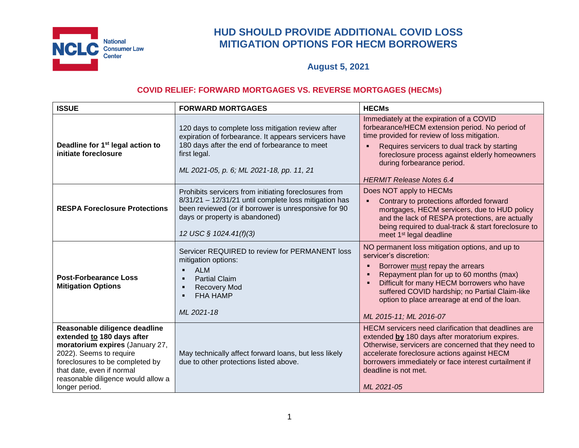

# **HUD SHOULD PROVIDE ADDITIONAL COVID LOSS MITIGATION OPTIONS FOR HECM BORROWERS**

**August 5, 2021**

## **COVID RELIEF: FORWARD MORTGAGES VS. REVERSE MORTGAGES (HECMs)**

| <b>ISSUE</b>                                                                                                                                                                                                                                      | <b>FORWARD MORTGAGES</b>                                                                                                                                                                                                           | <b>HECMs</b>                                                                                                                                                                                                                                                                                                                        |
|---------------------------------------------------------------------------------------------------------------------------------------------------------------------------------------------------------------------------------------------------|------------------------------------------------------------------------------------------------------------------------------------------------------------------------------------------------------------------------------------|-------------------------------------------------------------------------------------------------------------------------------------------------------------------------------------------------------------------------------------------------------------------------------------------------------------------------------------|
| Deadline for 1 <sup>st</sup> legal action to<br>initiate foreclosure                                                                                                                                                                              | 120 days to complete loss mitigation review after<br>expiration of forbearance. It appears servicers have<br>180 days after the end of forbearance to meet<br>first legal.<br>ML 2021-05, p. 6; ML 2021-18, pp. 11, 21             | Immediately at the expiration of a COVID<br>forbearance/HECM extension period. No period of<br>time provided for review of loss mitigation.<br>Requires servicers to dual track by starting<br>foreclosure process against elderly homeowners<br>during forbearance period.<br><b>HERMIT Release Notes 6.4</b>                      |
| <b>RESPA Foreclosure Protections</b>                                                                                                                                                                                                              | Prohibits servicers from initiating foreclosures from<br>8/31/21 - 12/31/21 until complete loss mitigation has<br>been reviewed (or if borrower is unresponsive for 90<br>days or property is abandoned)<br>12 USC § 1024.41(f)(3) | Does NOT apply to HECMs<br>Contrary to protections afforded forward<br>mortgages, HECM servicers, due to HUD policy<br>and the lack of RESPA protections, are actually<br>being required to dual-track & start foreclosure to<br>meet 1 <sup>st</sup> legal deadline                                                                |
| <b>Post-Forbearance Loss</b><br><b>Mitigation Options</b>                                                                                                                                                                                         | Servicer REQUIRED to review for PERMANENT loss<br>mitigation options:<br><b>ALM</b><br><b>Partial Claim</b><br><b>Recovery Mod</b><br><b>FHA HAMP</b><br>ML 2021-18                                                                | NO permanent loss mitigation options, and up to<br>servicer's discretion:<br>Borrower must repay the arrears<br>Repayment plan for up to 60 months (max)<br>Difficult for many HECM borrowers who have<br>suffered COVID hardship; no Partial Claim-like<br>option to place arrearage at end of the loan.<br>ML 2015-11; ML 2016-07 |
| Reasonable diligence deadline<br>extended to 180 days after<br>moratorium expires (January 27,<br>2022). Seems to require<br>foreclosures to be completed by<br>that date, even if normal<br>reasonable diligence would allow a<br>longer period. | May technically affect forward loans, but less likely<br>due to other protections listed above.                                                                                                                                    | HECM servicers need clarification that deadlines are<br>extended by 180 days after moratorium expires.<br>Otherwise, servicers are concerned that they need to<br>accelerate foreclosure actions against HECM<br>borrowers immediately or face interest curtailment if<br>deadline is not met.<br>ML 2021-05                        |